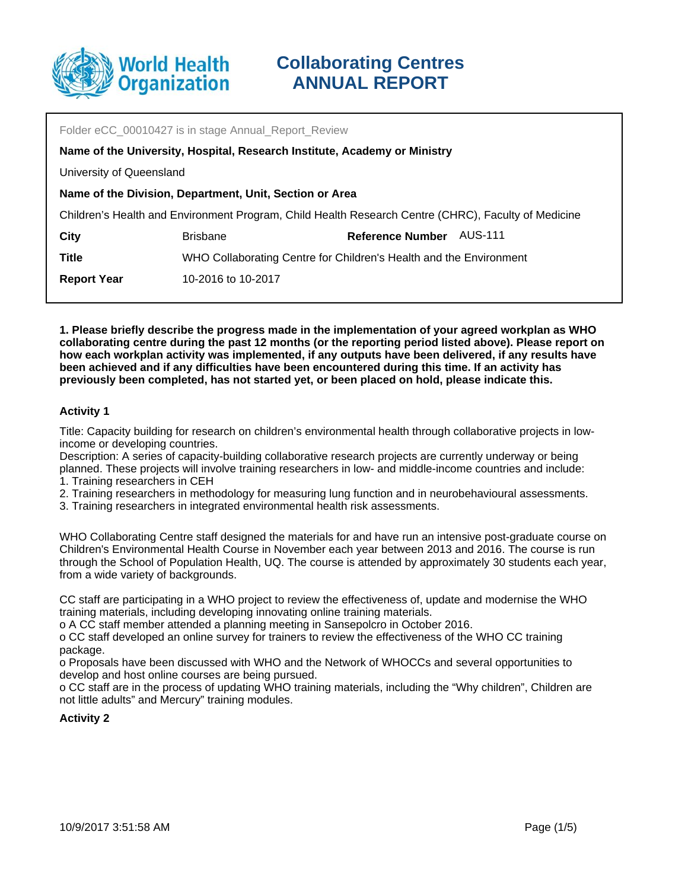

| Folder eCC 00010427 is in stage Annual Report Review                                                |                                                                    |                         |         |
|-----------------------------------------------------------------------------------------------------|--------------------------------------------------------------------|-------------------------|---------|
| Name of the University, Hospital, Research Institute, Academy or Ministry                           |                                                                    |                         |         |
| University of Queensland                                                                            |                                                                    |                         |         |
| Name of the Division, Department, Unit, Section or Area                                             |                                                                    |                         |         |
| Children's Health and Environment Program, Child Health Research Centre (CHRC), Faculty of Medicine |                                                                    |                         |         |
| City                                                                                                | <b>Brisbane</b>                                                    | <b>Reference Number</b> | AUS-111 |
| <b>Title</b>                                                                                        | WHO Collaborating Centre for Children's Health and the Environment |                         |         |
| <b>Report Year</b>                                                                                  | 10-2016 to 10-2017                                                 |                         |         |
|                                                                                                     |                                                                    |                         |         |

**1. Please briefly describe the progress made in the implementation of your agreed workplan as WHO collaborating centre during the past 12 months (or the reporting period listed above). Please report on how each workplan activity was implemented, if any outputs have been delivered, if any results have been achieved and if any difficulties have been encountered during this time. If an activity has previously been completed, has not started yet, or been placed on hold, please indicate this.**

### **Activity 1**

Title: Capacity building for research on children's environmental health through collaborative projects in lowincome or developing countries.

Description: A series of capacity-building collaborative research projects are currently underway or being planned. These projects will involve training researchers in low- and middle-income countries and include:

- 1. Training researchers in CEH
- 2. Training researchers in methodology for measuring lung function and in neurobehavioural assessments.
- 3. Training researchers in integrated environmental health risk assessments.

WHO Collaborating Centre staff designed the materials for and have run an intensive post-graduate course on Children's Environmental Health Course in November each year between 2013 and 2016. The course is run through the School of Population Health, UQ. The course is attended by approximately 30 students each year, from a wide variety of backgrounds.

CC staff are participating in a WHO project to review the effectiveness of, update and modernise the WHO training materials, including developing innovating online training materials.

o A CC staff member attended a planning meeting in Sansepolcro in October 2016.

o CC staff developed an online survey for trainers to review the effectiveness of the WHO CC training package.

o Proposals have been discussed with WHO and the Network of WHOCCs and several opportunities to develop and host online courses are being pursued.

o CC staff are in the process of updating WHO training materials, including the "Why children", Children are not little adults" and Mercury" training modules.

### **Activity 2**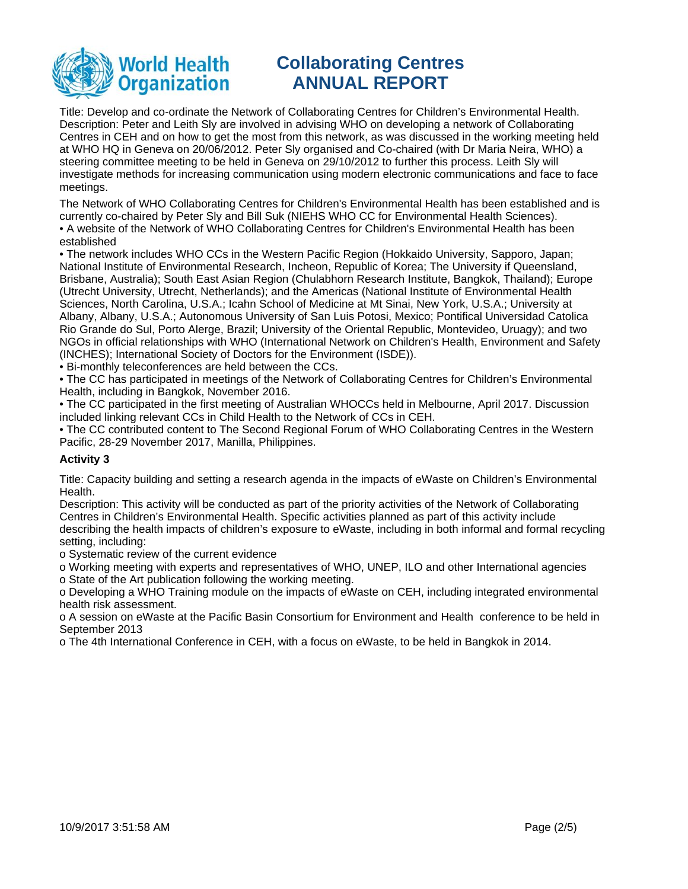

Title: Develop and co-ordinate the Network of Collaborating Centres for Children's Environmental Health. Description: Peter and Leith Sly are involved in advising WHO on developing a network of Collaborating Centres in CEH and on how to get the most from this network, as was discussed in the working meeting held at WHO HQ in Geneva on 20/06/2012. Peter Sly organised and Co-chaired (with Dr Maria Neira, WHO) a steering committee meeting to be held in Geneva on 29/10/2012 to further this process. Leith Sly will investigate methods for increasing communication using modern electronic communications and face to face meetings.

The Network of WHO Collaborating Centres for Children's Environmental Health has been established and is currently co-chaired by Peter Sly and Bill Suk (NIEHS WHO CC for Environmental Health Sciences). • A website of the Network of WHO Collaborating Centres for Children's Environmental Health has been established

• The network includes WHO CCs in the Western Pacific Region (Hokkaido University, Sapporo, Japan; National Institute of Environmental Research, Incheon, Republic of Korea; The University if Queensland, Brisbane, Australia); South East Asian Region (Chulabhorn Research Institute, Bangkok, Thailand); Europe (Utrecht University, Utrecht, Netherlands); and the Americas (National Institute of Environmental Health Sciences, North Carolina, U.S.A.; Icahn School of Medicine at Mt Sinai, New York, U.S.A.; University at Albany, Albany, U.S.A.; Autonomous University of San Luis Potosi, Mexico; Pontifical Universidad Catolica Rio Grande do Sul, Porto Alerge, Brazil; University of the Oriental Republic, Montevideo, Uruagy); and two NGOs in official relationships with WHO (International Network on Children's Health, Environment and Safety (INCHES); International Society of Doctors for the Environment (ISDE)).

• Bi-monthly teleconferences are held between the CCs.

• The CC has participated in meetings of the Network of Collaborating Centres for Children's Environmental Health, including in Bangkok, November 2016.

• The CC participated in the first meeting of Australian WHOCCs held in Melbourne, April 2017. Discussion included linking relevant CCs in Child Health to the Network of CCs in CEH.

• The CC contributed content to The Second Regional Forum of WHO Collaborating Centres in the Western Pacific, 28-29 November 2017, Manilla, Philippines.

### **Activity 3**

Title: Capacity building and setting a research agenda in the impacts of eWaste on Children's Environmental Health.

Description: This activity will be conducted as part of the priority activities of the Network of Collaborating Centres in Children's Environmental Health. Specific activities planned as part of this activity include describing the health impacts of children's exposure to eWaste, including in both informal and formal recycling setting, including:

o Systematic review of the current evidence

o Working meeting with experts and representatives of WHO, UNEP, ILO and other International agencies o State of the Art publication following the working meeting.

o Developing a WHO Training module on the impacts of eWaste on CEH, including integrated environmental health risk assessment.

o A session on eWaste at the Pacific Basin Consortium for Environment and Health conference to be held in September 2013

o The 4th International Conference in CEH, with a focus on eWaste, to be held in Bangkok in 2014.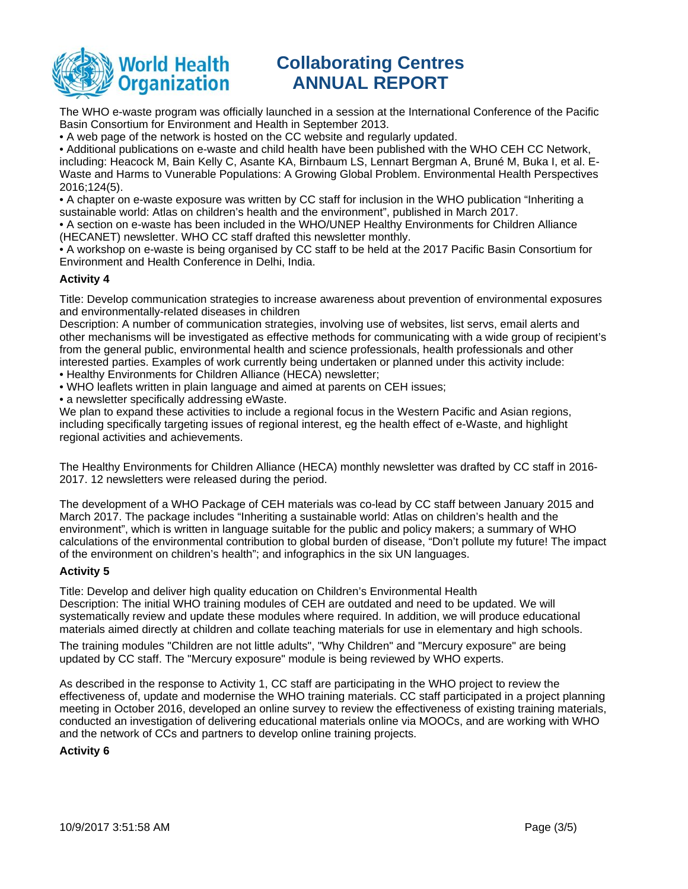

The WHO e-waste program was officially launched in a session at the International Conference of the Pacific Basin Consortium for Environment and Health in September 2013.

• A web page of the network is hosted on the CC website and regularly updated.

• Additional publications on e-waste and child health have been published with the WHO CEH CC Network, including: Heacock M, Bain Kelly C, Asante KA, Birnbaum LS, Lennart Bergman A, Bruné M, Buka I, et al. E-Waste and Harms to Vunerable Populations: A Growing Global Problem. Environmental Health Perspectives 2016;124(5).

• A chapter on e-waste exposure was written by CC staff for inclusion in the WHO publication "Inheriting a sustainable world: Atlas on children's health and the environment", published in March 2017.

• A section on e-waste has been included in the WHO/UNEP Healthy Environments for Children Alliance (HECANET) newsletter. WHO CC staff drafted this newsletter monthly.

• A workshop on e-waste is being organised by CC staff to be held at the 2017 Pacific Basin Consortium for Environment and Health Conference in Delhi, India.

### **Activity 4**

Title: Develop communication strategies to increase awareness about prevention of environmental exposures and environmentally-related diseases in children

Description: A number of communication strategies, involving use of websites, list servs, email alerts and other mechanisms will be investigated as effective methods for communicating with a wide group of recipient's from the general public, environmental health and science professionals, health professionals and other interested parties. Examples of work currently being undertaken or planned under this activity include:

- Healthy Environments for Children Alliance (HECA) newsletter;
- WHO leaflets written in plain language and aimed at parents on CEH issues;
- a newsletter specifically addressing eWaste.

We plan to expand these activities to include a regional focus in the Western Pacific and Asian regions, including specifically targeting issues of regional interest, eg the health effect of e-Waste, and highlight regional activities and achievements.

The Healthy Environments for Children Alliance (HECA) monthly newsletter was drafted by CC staff in 2016- 2017. 12 newsletters were released during the period.

The development of a WHO Package of CEH materials was co-lead by CC staff between January 2015 and March 2017. The package includes "Inheriting a sustainable world: Atlas on children's health and the environment", which is written in language suitable for the public and policy makers; a summary of WHO calculations of the environmental contribution to global burden of disease, "Don't pollute my future! The impact of the environment on children's health"; and infographics in the six UN languages.

### **Activity 5**

Title: Develop and deliver high quality education on Children's Environmental Health Description: The initial WHO training modules of CEH are outdated and need to be updated. We will systematically review and update these modules where required. In addition, we will produce educational materials aimed directly at children and collate teaching materials for use in elementary and high schools.

The training modules "Children are not little adults", "Why Children" and "Mercury exposure" are being updated by CC staff. The "Mercury exposure" module is being reviewed by WHO experts.

As described in the response to Activity 1, CC staff are participating in the WHO project to review the effectiveness of, update and modernise the WHO training materials. CC staff participated in a project planning meeting in October 2016, developed an online survey to review the effectiveness of existing training materials, conducted an investigation of delivering educational materials online via MOOCs, and are working with WHO and the network of CCs and partners to develop online training projects.

### **Activity 6**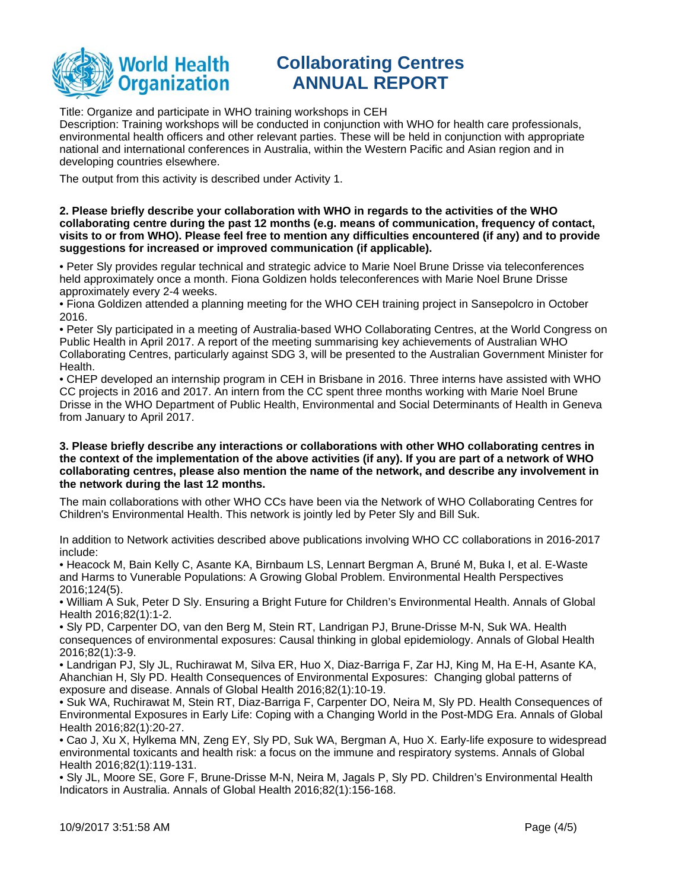

Title: Organize and participate in WHO training workshops in CEH

Description: Training workshops will be conducted in conjunction with WHO for health care professionals, environmental health officers and other relevant parties. These will be held in conjunction with appropriate national and international conferences in Australia, within the Western Pacific and Asian region and in developing countries elsewhere.

The output from this activity is described under Activity 1.

#### **2. Please briefly describe your collaboration with WHO in regards to the activities of the WHO collaborating centre during the past 12 months (e.g. means of communication, frequency of contact, visits to or from WHO). Please feel free to mention any difficulties encountered (if any) and to provide suggestions for increased or improved communication (if applicable).**

• Peter Sly provides regular technical and strategic advice to Marie Noel Brune Drisse via teleconferences held approximately once a month. Fiona Goldizen holds teleconferences with Marie Noel Brune Drisse approximately every 2-4 weeks.

• Fiona Goldizen attended a planning meeting for the WHO CEH training project in Sansepolcro in October 2016.

• Peter Sly participated in a meeting of Australia-based WHO Collaborating Centres, at the World Congress on Public Health in April 2017. A report of the meeting summarising key achievements of Australian WHO Collaborating Centres, particularly against SDG 3, will be presented to the Australian Government Minister for Health.

• CHEP developed an internship program in CEH in Brisbane in 2016. Three interns have assisted with WHO CC projects in 2016 and 2017. An intern from the CC spent three months working with Marie Noel Brune Drisse in the WHO Department of Public Health, Environmental and Social Determinants of Health in Geneva from January to April 2017.

#### **3. Please briefly describe any interactions or collaborations with other WHO collaborating centres in the context of the implementation of the above activities (if any). If you are part of a network of WHO collaborating centres, please also mention the name of the network, and describe any involvement in the network during the last 12 months.**

The main collaborations with other WHO CCs have been via the Network of WHO Collaborating Centres for Children's Environmental Health. This network is jointly led by Peter Sly and Bill Suk.

In addition to Network activities described above publications involving WHO CC collaborations in 2016-2017 include:

• Heacock M, Bain Kelly C, Asante KA, Birnbaum LS, Lennart Bergman A, Bruné M, Buka I, et al. E-Waste and Harms to Vunerable Populations: A Growing Global Problem. Environmental Health Perspectives 2016;124(5).

• William A Suk, Peter D Sly. Ensuring a Bright Future for Children's Environmental Health. Annals of Global Health 2016;82(1):1-2.

• Sly PD, Carpenter DO, van den Berg M, Stein RT, Landrigan PJ, Brune-Drisse M-N, Suk WA. Health consequences of environmental exposures: Causal thinking in global epidemiology. Annals of Global Health 2016;82(1):3-9.

• Landrigan PJ, Sly JL, Ruchirawat M, Silva ER, Huo X, Diaz-Barriga F, Zar HJ, King M, Ha E-H, Asante KA, Ahanchian H, Sly PD. Health Consequences of Environmental Exposures: Changing global patterns of exposure and disease. Annals of Global Health 2016;82(1):10-19.

• Suk WA, Ruchirawat M, Stein RT, Diaz-Barriga F, Carpenter DO, Neira M, Sly PD. Health Consequences of Environmental Exposures in Early Life: Coping with a Changing World in the Post-MDG Era. Annals of Global Health 2016;82(1):20-27.

• Cao J, Xu X, Hylkema MN, Zeng EY, Sly PD, Suk WA, Bergman A, Huo X. Early-life exposure to widespread environmental toxicants and health risk: a focus on the immune and respiratory systems. Annals of Global Health 2016;82(1):119-131.

• Sly JL, Moore SE, Gore F, Brune-Drisse M-N, Neira M, Jagals P, Sly PD. Children's Environmental Health Indicators in Australia. Annals of Global Health 2016;82(1):156-168.